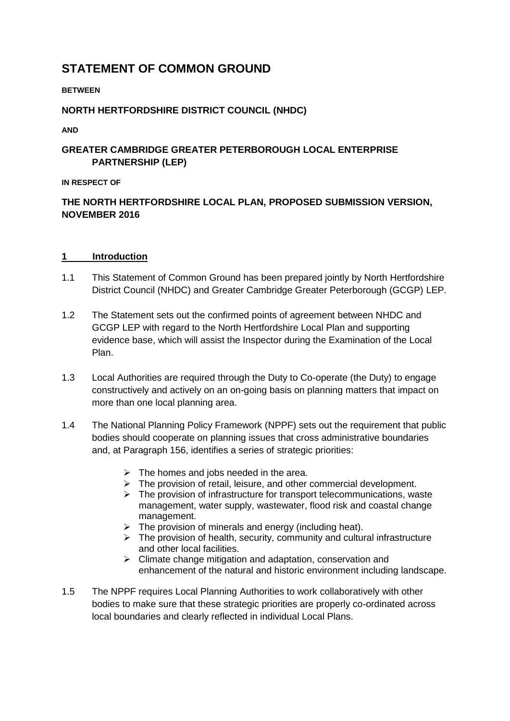# **STATEMENT OF COMMON GROUND**

### **BETWEEN**

### **NORTH HERTFORDSHIRE DISTRICT COUNCIL (NHDC)**

**AND** 

# **GREATER CAMBRIDGE GREATER PETERBOROUGH LOCAL ENTERPRISE PARTNERSHIP (LEP)**

**IN RESPECT OF**

# **THE NORTH HERTFORDSHIRE LOCAL PLAN, PROPOSED SUBMISSION VERSION, NOVEMBER 2016**

### **1 Introduction**

- 1.1 This Statement of Common Ground has been prepared jointly by North Hertfordshire District Council (NHDC) and Greater Cambridge Greater Peterborough (GCGP) LEP.
- 1.2 The Statement sets out the confirmed points of agreement between NHDC and GCGP LEP with regard to the North Hertfordshire Local Plan and supporting evidence base, which will assist the Inspector during the Examination of the Local Plan.
- 1.3 Local Authorities are required through the Duty to Co-operate (the Duty) to engage constructively and actively on an on-going basis on planning matters that impact on more than one local planning area.
- 1.4 The National Planning Policy Framework (NPPF) sets out the requirement that public bodies should cooperate on planning issues that cross administrative boundaries and, at Paragraph 156, identifies a series of strategic priorities:
	- $\triangleright$  The homes and jobs needed in the area.
	- $\triangleright$  The provision of retail, leisure, and other commercial development.
	- $\triangleright$  The provision of infrastructure for transport telecommunications, waste management, water supply, wastewater, flood risk and coastal change management.
	- $\triangleright$  The provision of minerals and energy (including heat).
	- $\triangleright$  The provision of health, security, community and cultural infrastructure and other local facilities.
	- $\triangleright$  Climate change mitigation and adaptation, conservation and enhancement of the natural and historic environment including landscape.
- 1.5 The NPPF requires Local Planning Authorities to work collaboratively with other bodies to make sure that these strategic priorities are properly co-ordinated across local boundaries and clearly reflected in individual Local Plans.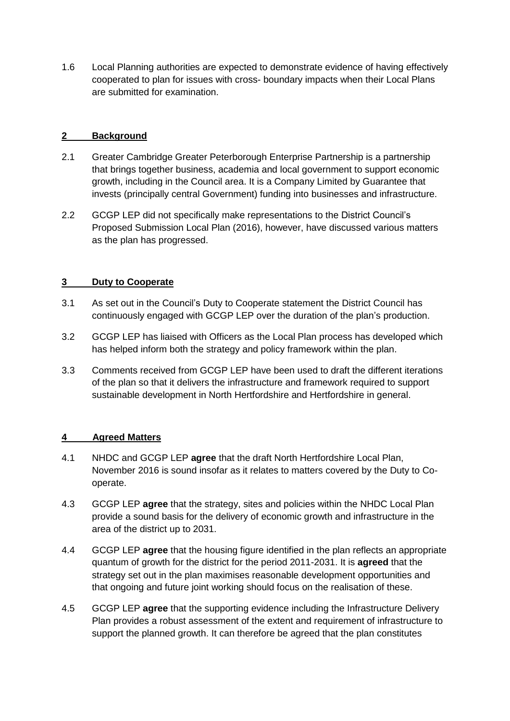1.6 Local Planning authorities are expected to demonstrate evidence of having effectively cooperated to plan for issues with cross- boundary impacts when their Local Plans are submitted for examination.

## **2 Background**

- 2.1 Greater Cambridge Greater Peterborough Enterprise Partnership is a partnership that brings together business, academia and local government to support economic growth, including in the Council area. It is a Company Limited by Guarantee that invests (principally central Government) funding into businesses and infrastructure.
- 2.2 GCGP LEP did not specifically make representations to the District Council's Proposed Submission Local Plan (2016), however, have discussed various matters as the plan has progressed.

### **3 Duty to Cooperate**

- 3.1 As set out in the Council's Duty to Cooperate statement the District Council has continuously engaged with GCGP LEP over the duration of the plan's production.
- 3.2 GCGP LEP has liaised with Officers as the Local Plan process has developed which has helped inform both the strategy and policy framework within the plan.
- 3.3 Comments received from GCGP LEP have been used to draft the different iterations of the plan so that it delivers the infrastructure and framework required to support sustainable development in North Hertfordshire and Hertfordshire in general.

### **4 Agreed Matters**

- 4.1 NHDC and GCGP LEP **agree** that the draft North Hertfordshire Local Plan, November 2016 is sound insofar as it relates to matters covered by the Duty to Cooperate.
- 4.3 GCGP LEP **agree** that the strategy, sites and policies within the NHDC Local Plan provide a sound basis for the delivery of economic growth and infrastructure in the area of the district up to 2031.
- 4.4 GCGP LEP **agree** that the housing figure identified in the plan reflects an appropriate quantum of growth for the district for the period 2011-2031. It is **agreed** that the strategy set out in the plan maximises reasonable development opportunities and that ongoing and future joint working should focus on the realisation of these.
- 4.5 GCGP LEP **agree** that the supporting evidence including the Infrastructure Delivery Plan provides a robust assessment of the extent and requirement of infrastructure to support the planned growth. It can therefore be agreed that the plan constitutes